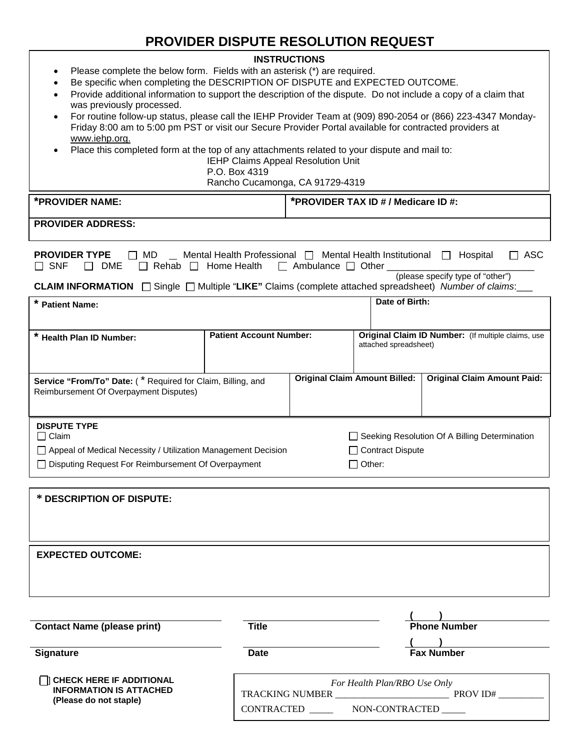## **PROVIDER DISPUTE RESOLUTION REQUEST**

## **INSTRUCTIONS**

- Please complete the below form. Fields with an asterisk (\*) are required.
- Be specific when completing the DESCRIPTION OF DISPUTE and EXPECTED OUTCOME.
- Provide additional information to support the description of the dispute. Do not include a copy of a claim that was previously processed.
- For routine follow-up status, please call the IEHP Provider Team at (909) 890-2054 or (866) 223-4347 Monday-Friday 8:00 am to 5:00 pm PST or visit our Secure Provider Portal available for contracted providers at www.iehp.org.
- Place this completed form at the top of any attachments related to your dispute and mail to:

IEHP Claims Appeal Resolution Unit

P.O. Box 4319

Rancho Cucamonga, CA 91729-4319

| *PROVIDER NAME: | *PROVIDER TAX ID # / Medicare ID #: |
|-----------------|-------------------------------------|
|                 |                                     |

| <b>PROVIDER ADDRESS:</b> |  |
|--------------------------|--|
|--------------------------|--|

| $\Box$ ASC<br><b>PROVIDER TYPE</b><br>Mental Health Professional $\Box$ Mental Health Institutional $\Box$ Hospital<br>$\Box$ MD<br>$\Box$ Rehab $\Box$ Home Health $\Box$ Ambulance $\Box$ Other $\Box$<br>$\Box$ SNF<br>DME<br>$\mathbf{1}$<br>(please specify type of "other")<br>CLAIM INFORMATION □ Single □ Multiple "LIKE" Claims (complete attached spreadsheet) Number of claims: |                                |                                                                                    |  |                                                                             |  |  |
|--------------------------------------------------------------------------------------------------------------------------------------------------------------------------------------------------------------------------------------------------------------------------------------------------------------------------------------------------------------------------------------------|--------------------------------|------------------------------------------------------------------------------------|--|-----------------------------------------------------------------------------|--|--|
| * Patient Name:                                                                                                                                                                                                                                                                                                                                                                            |                                | Date of Birth:                                                                     |  |                                                                             |  |  |
| * Health Plan ID Number:                                                                                                                                                                                                                                                                                                                                                                   | <b>Patient Account Number:</b> |                                                                                    |  | Original Claim ID Number: (If multiple claims, use<br>attached spreadsheet) |  |  |
| Service "From/To" Date: (* Required for Claim, Billing, and<br>Reimbursement Of Overpayment Disputes)                                                                                                                                                                                                                                                                                      |                                | <b>Original Claim Amount Billed:</b>                                               |  | <b>Original Claim Amount Paid:</b>                                          |  |  |
| <b>DISPUTE TYPE</b><br>$\Box$ Claim<br>□ Appeal of Medical Necessity / Utilization Management Decision<br>□ Disputing Request For Reimbursement Of Overpayment                                                                                                                                                                                                                             |                                | Seeking Resolution Of A Billing Determination<br><b>Contract Dispute</b><br>Other: |  |                                                                             |  |  |
| * DESCRIPTION OF DISPUTE:                                                                                                                                                                                                                                                                                                                                                                  |                                |                                                                                    |  |                                                                             |  |  |
| <b>EXPECTED OUTCOME:</b>                                                                                                                                                                                                                                                                                                                                                                   |                                |                                                                                    |  |                                                                             |  |  |

|                                                          |                              | <b>Phone Number</b> |  |  |
|----------------------------------------------------------|------------------------------|---------------------|--|--|
| <b>Contact Name (please print)</b>                       | Title                        |                     |  |  |
| <b>Signature</b>                                         | <b>Date</b>                  | <b>Fax Number</b>   |  |  |
| <b>CHECK HERE IF ADDITIONAL</b>                          | For Health Plan/RBO Use Only |                     |  |  |
| <b>INFORMATION IS ATTACHED</b><br>(Please do not staple) | TRACKING NUMBER              | PROV ID#            |  |  |
|                                                          | <b>CONTRACTED</b>            | NON-CONTRACTED      |  |  |